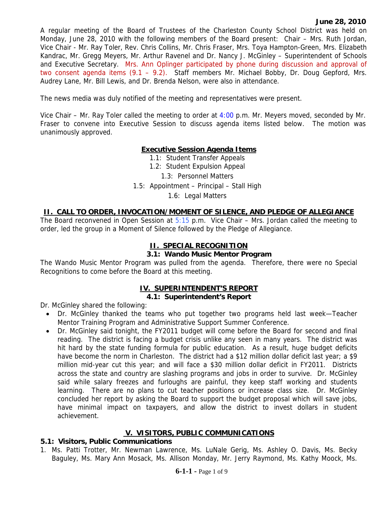A regular meeting of the Board of Trustees of the Charleston County School District was held on Monday, June 28, 2010 with the following members of the Board present: Chair – Mrs. Ruth Jordan, Vice Chair - Mr. Ray Toler, Rev. Chris Collins, Mr. Chris Fraser, Mrs. Toya Hampton-Green, Mrs. Elizabeth Kandrac, Mr. Gregg Meyers, Mr. Arthur Ravenel and Dr. Nancy J. McGinley – Superintendent of Schools and Executive Secretary. Mrs. Ann Oplinger participated by phone during discussion and approval of two consent agenda items (9.1 – 9.2). Staff members Mr. Michael Bobby, Dr. Doug Gepford, Mrs. Audrey Lane, Mr. Bill Lewis, and Dr. Brenda Nelson, were also in attendance.

The news media was duly notified of the meeting and representatives were present.

Vice Chair – Mr. Ray Toler called the meeting to order at 4:00 p.m. Mr. Meyers moved, seconded by Mr. Fraser to convene into Executive Session to discuss agenda items listed below. The motion was unanimously approved.

#### **Executive Session Agenda Items**

1.1: Student Transfer Appeals

1.2: Student Expulsion Appeal

1.3: Personnel Matters

1.5: Appointment – Principal – Stall High

1.6: Legal Matters

#### **II. CALL TO ORDER, INVOCATION/MOMENT OF SILENCE, AND PLEDGE OF ALLEGIANCE**

The Board reconvened in Open Session at  $5:15$  p.m. Vice Chair – Mrs. Jordan called the meeting to order, led the group in a Moment of Silence followed by the Pledge of Allegiance.

#### **II. SPECIAL RECOGNITION**

#### **3.1: Wando Music Mentor Program**

The Wando Music Mentor Program was pulled from the agenda. Therefore, there were no Special Recognitions to come before the Board at this meeting.

# **IV. SUPERINTENDENT'S REPORT**

### **4.1: Superintendent's Report**

Dr. McGinley shared the following:

- Dr. McGinley thanked the teams who put together two programs held last week—Teacher Mentor Training Program and Administrative Support Summer Conference.
- Dr. McGinley said tonight, the FY2011 budget will come before the Board for second and final reading. The district is facing a budget crisis unlike any seen in many years. The district was hit hard by the state funding formula for public education. As a result, huge budget deficits have become the norm in Charleston. The district had a \$12 million dollar deficit last year; a \$9 million mid-year cut this year; and will face a \$30 million dollar deficit in FY2011. Districts across the state and country are slashing programs and jobs in order to survive. Dr. McGinley said while salary freezes and furloughs are painful, they keep staff working and students learning. There are no plans to cut teacher positions or increase class size. Dr. McGinley concluded her report by asking the Board to support the budget proposal which will save jobs, have minimal impact on taxpayers, and allow the district to invest dollars in student achievement.

#### **V. VISITORS, PUBLIC COMMUNICATIONS**

#### **5.1: Visitors, Public Communications**

1. Ms. Patti Trotter, Mr. Newman Lawrence, Ms. LuNale Gerig, Ms. Ashley O. Davis, Ms. Becky Baguley, Ms. Mary Ann Mosack, Ms. Allison Monday, Mr. Jerry Raymond, Ms. Kathy Moock, Ms.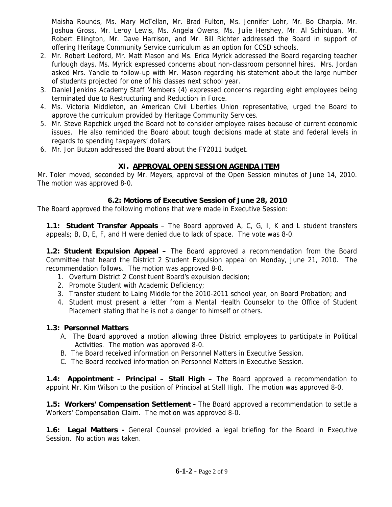Maisha Rounds, Ms. Mary McTellan, Mr. Brad Fulton, Ms. Jennifer Lohr, Mr. Bo Charpia, Mr. Joshua Gross, Mr. Leroy Lewis, Ms. Angela Owens, Ms. Julie Hershey, Mr. Al Schirduan, Mr. Robert Ellington, Mr. Dave Harrison, and Mr. Bill Richter addressed the Board in support of offering Heritage Community Service curriculum as an option for CCSD schools.

- 2. Mr. Robert Ledford, Mr. Matt Mason and Ms. Erica Myrick addressed the Board regarding teacher furlough days. Ms. Myrick expressed concerns about non-classroom personnel hires. Mrs. Jordan asked Mrs. Yandle to follow-up with Mr. Mason regarding his statement about the large number of students projected for one of his classes next school year.
- 3. Daniel Jenkins Academy Staff Members (4) expressed concerns regarding eight employees being terminated due to Restructuring and Reduction in Force.
- 4. Ms. Victoria Middleton, an American Civil Liberties Union representative, urged the Board to approve the curriculum provided by Heritage Community Services.
- 5. Mr. Steve Rapchick urged the Board not to consider employee raises because of current economic issues. He also reminded the Board about tough decisions made at state and federal levels in regards to spending taxpayers' dollars.
- 6. Mr. Jon Butzon addressed the Board about the FY2011 budget.

## **XI. APPROVAL OPEN SESSION AGENDA ITEM**

Mr. Toler moved, seconded by Mr. Meyers, approval of the Open Session minutes of June 14, 2010. The motion was approved 8-0.

### **6.2: Motions of Executive Session of June 28, 2010**

The Board approved the following motions that were made in Executive Session:

**1.1: Student Transfer Appeals** – The Board approved A, C, G, I, K and L student transfers appeals; B, D, E, F, and H were denied due to lack of space. The vote was 8-0.

**1.2: Student Expulsion Appeal –** The Board approved a recommendation from the Board Committee that heard the District 2 Student Expulsion appeal on Monday, June 21, 2010. The recommendation follows. The motion was approved 8-0.

- 1. Overturn District 2 Constituent Board's expulsion decision;
- 2. Promote Student with Academic Deficiency;
- 3. Transfer student to Laing Middle for the 2010-2011 school year, on Board Probation; and
- 4. Student must present a letter from a Mental Health Counselor to the Office of Student Placement stating that he is not a danger to himself or others.

### **1.3: Personnel Matters**

- A. The Board approved a motion allowing three District employees to participate in Political Activities. The motion was approved 8-0.
- B. The Board received information on Personnel Matters in Executive Session.
- C. The Board received information on Personnel Matters in Executive Session.

**1.4: Appointment – Principal – Stall High –** The Board approved a recommendation to appoint Mr. Kim Wilson to the position of Principal at Stall High. The motion was approved 8-0.

**1.5: Workers' Compensation Settlement -** The Board approved a recommendation to settle a Workers' Compensation Claim. The motion was approved 8-0.

**1.6: Legal Matters -** General Counsel provided a legal briefing for the Board in Executive Session. No action was taken.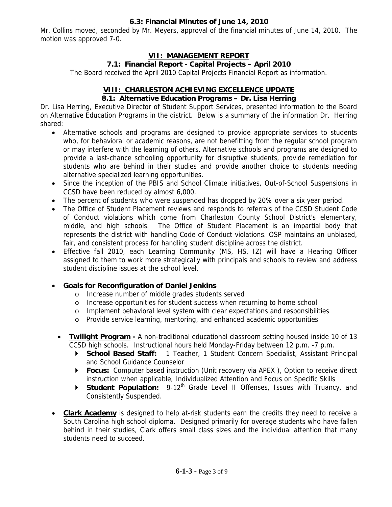#### **6.3: Financial Minutes of June 14, 2010**

Mr. Collins moved, seconded by Mr. Meyers, approval of the financial minutes of June 14, 2010. The motion was approved 7-0.

### **VII: MANAGEMENT REPORT**

### **7.1: Financial Report - Capital Projects – April 2010**

The Board received the April 2010 Capital Projects Financial Report as information.

### **VIII: CHARLESTON ACHIEVING EXCELLENCE UPDATE**

### **8.1: Alternative Education Programs – Dr. Lisa Herring**

Dr. Lisa Herring, Executive Director of Student Support Services, presented information to the Board on Alternative Education Programs in the district. Below is a summary of the information Dr. Herring shared:

- Alternative schools and programs are designed to provide appropriate services to students who, for behavioral or academic reasons, are not benefitting from the regular school program or may interfere with the learning of others. Alternative schools and programs are designed to provide a last-chance schooling opportunity for disruptive students, provide remediation for students who are behind in their studies and provide another choice to students needing alternative specialized learning opportunities.
- Since the inception of the PBIS and School Climate initiatives, Out-of-School Suspensions in CCSD have been reduced by almost 6,000.
- The percent of students who were suspended has dropped by 20% over a six year period.
- The Office of Student Placement reviews and responds to referrals of the CCSD Student Code of Conduct violations which come from Charleston County School District's elementary, middle, and high schools. The Office of Student Placement is an impartial body that represents the district with handling Code of Conduct violations. OSP maintains an unbiased, fair, and consistent process for handling student discipline across the district.
- Effective fall 2010, each Learning Community (MS, HS, IZ) will have a Hearing Officer assigned to them to work more strategically with principals and schools to review and address student discipline issues at the school level.

### • **Goals for Reconfiguration of Daniel Jenkins**

- o Increase number of middle grades students served
- o Increase opportunities for student success when returning to home school
- o Implement behavioral level system with clear expectations and responsibilities
- o Provide service learning, mentoring, and enhanced academic opportunities
- **Twilight Program** A non-traditional educational classroom setting housed inside 10 of 13 CCSD high schools. Instructional hours held Monday-Friday between 12 p.m. -7 p.m.
	- ` **School Based Staff:** 1 Teacher, 1 Student Concern Specialist, Assistant Principal and School Guidance Counselor
	- ▶ **Focus:** Computer based instruction (Unit recovery via APEX), Option to receive direct instruction when applicable, Individualized Attention and Focus on Specific Skills
	- **Student Population:** 9-12<sup>th</sup> Grade Level II Offenses, Issues with Truancy, and Consistently Suspended.
- **Clark Academy** is designed to help at-risk students earn the credits they need to receive a South Carolina high school diploma. Designed primarily for overage students who have fallen behind in their studies, Clark offers small class sizes and the individual attention that many students need to succeed.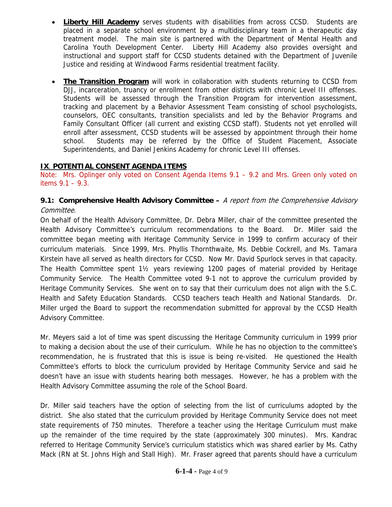- **Liberty Hill Academy** serves students with disabilities from across CCSD. Students are placed in a separate school environment by a multidisciplinary team in a therapeutic day treatment model. The main site is partnered with the Department of Mental Health and Carolina Youth Development Center. Liberty Hill Academy also provides oversight and instructional and support staff for CCSD students detained with the Department of Juvenile Justice and residing at Windwood Farms residential treatment facility.
- **The Transition Program** will work in collaboration with students returning to CCSD from DJJ, incarceration, truancy or enrollment from other districts with chronic Level III offenses. Students will be assessed through the Transition Program for intervention assessment, tracking and placement by a Behavior Assessment Team consisting of school psychologists, counselors, OEC consultants, transition specialists and led by the Behavior Programs and Family Consultant Officer (all current and existing CCSD staff). Students not yet enrolled will enroll after assessment, CCSD students will be assessed by appointment through their home school. Students may be referred by the Office of Student Placement, Associate Superintendents, and Daniel Jenkins Academy for chronic Level III offenses.

## **IX**. **POTENTIAL CONSENT AGENDA ITEMS**

Note: Mrs. Oplinger only voted on Consent Agenda Items 9.1 – 9.2 and Mrs. Green only voted on items 9.1 – 9.3.

### **9.1: Comprehensive Health Advisory Committee –** A report from the Comprehensive Advisory Committee.

On behalf of the Health Advisory Committee, Dr. Debra Miller, chair of the committee presented the Health Advisory Committee's curriculum recommendations to the Board. Dr. Miller said the committee began meeting with Heritage Community Service in 1999 to confirm accuracy of their curriculum materials. Since 1999, Mrs. Phyllis Thornthwaite, Ms. Debbie Cockrell, and Ms. Tamara Kirstein have all served as health directors for CCSD. Now Mr. David Spurlock serves in that capacity. The Health Committee spent 1½ years reviewing 1200 pages of material provided by Heritage Community Service. The Health Committee voted 9-1 not to approve the curriculum provided by Heritage Community Services. She went on to say that their curriculum does not align with the S.C. Health and Safety Education Standards. CCSD teachers teach Health and National Standards. Dr. Miller urged the Board to support the recommendation submitted for approval by the CCSD Health Advisory Committee.

Mr. Meyers said a lot of time was spent discussing the Heritage Community curriculum in 1999 prior to making a decision about the use of their curriculum. While he has no objection to the committee's recommendation, he is frustrated that this is issue is being re-visited. He questioned the Health Committee's efforts to block the curriculum provided by Heritage Community Service and said he doesn't have an issue with students hearing both messages. However, he has a problem with the Health Advisory Committee assuming the role of the School Board.

Dr. Miller said teachers have the option of selecting from the list of curriculums adopted by the district. She also stated that the curriculum provided by Heritage Community Service does not meet state requirements of 750 minutes. Therefore a teacher using the Heritage Curriculum must make up the remainder of the time required by the state (approximately 300 minutes). Mrs. Kandrac referred to Heritage Community Service's curriculum statistics which was shared earlier by Ms. Cathy Mack (RN at St. Johns High and Stall High). Mr. Fraser agreed that parents should have a curriculum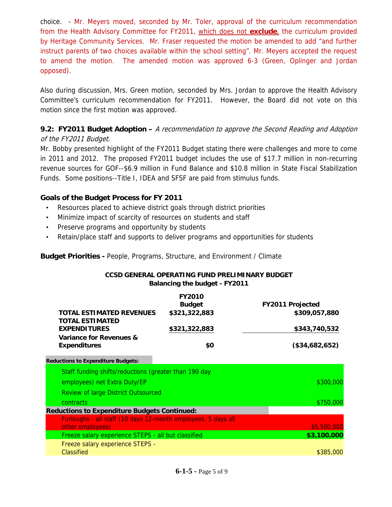choice. - Mr. Meyers moved, seconded by Mr. Toler, approval of the curriculum recommendation from the Health Advisory Committee for FY2011, which does not **exclude**, the curriculum provided by Heritage Community Services. Mr. Fraser requested the motion be amended to add "and further instruct parents of two choices available within the school setting". Mr. Meyers accepted the request to amend the motion. The amended motion was approved 6-3 (Green, Oplinger and Jordan opposed).

Also during discussion, Mrs. Green motion, seconded by Mrs. Jordan to approve the Health Advisory Committee's curriculum recommendation for FY2011. However, the Board did not vote on this motion since the first motion was approved.

### **9.2: FY2011 Budget Adoption –** A recommendation to approve the Second Reading and Adoption of the FY2011 Budget.

Mr. Bobby presented highlight of the FY2011 Budget stating there were challenges and more to come in 2011 and 2012. The proposed FY2011 budget includes the use of \$17.7 million in non-recurring revenue sources for GOF--\$6.9 million in Fund Balance and \$10.8 million in State Fiscal Stabilization Funds. Some positions--Title I, IDEA and SFSF are paid from stimulus funds.

### **Goals of the Budget Process for FY 2011**

- Resources placed to achieve district goals through district priorities
- Minimize impact of scarcity of resources on students and staff
- Preserve programs and opportunity by students
- Retain/place staff and supports to deliver programs and opportunities for students

**Budget Priorities -** People, Programs, Structure, and Environment / Climate

#### **CCSD GENERAL OPERATING FUND PRELIMINARY BUDGET Balancing the budget - FY2011**

|                                                               | <b>FY2010</b> |                         |
|---------------------------------------------------------------|---------------|-------------------------|
|                                                               | <b>Budget</b> | <b>FY2011 Projected</b> |
| TOTAL ESTIMATED REVENUES                                      | \$321,322,883 | \$309,057,880           |
| <b>TOTAL ESTIMATED</b>                                        |               |                         |
| <b>EXPENDITURES</b>                                           | \$321,322,883 | \$343,740,532           |
| Variance for Revenues &                                       |               |                         |
| <b>Expenditures</b>                                           | \$0           | (\$34,682,652)          |
| <b>Reductions to Expenditure Budgets:</b>                     |               |                         |
| Staff funding shifts/reductions (greater than 190 day         |               |                         |
| employees) net Extra Duty/EP                                  |               | \$300,000               |
| <b>Review of large District Outsourced</b>                    |               |                         |
| <b>contracts</b>                                              |               | \$750,000               |
| <b>Reductions to Expenditure Budgets Continued:</b>           |               |                         |
| Furloughs - all staff (10 days 12-month employees, 5 days all |               |                         |
| other employees)                                              |               | \$5,500,000             |
| Freeze salary experience STEPS - all but classified           |               | \$3,100,000             |
| Freeze salary experience STEPS -                              |               |                         |
| Classified                                                    |               | \$385,000               |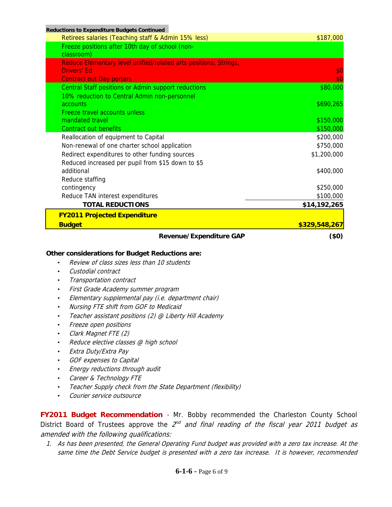| <b>Revenue/Expenditure GAP</b>                                   | $(\$0)$       |
|------------------------------------------------------------------|---------------|
| <b>Budget</b>                                                    | \$329,548,267 |
| <b>FY2011 Projected Expenditure</b>                              |               |
| <b>TOTAL REDUCTIONS</b>                                          | \$14,192,265  |
| Reduce TAN interest expenditures                                 | \$100,000     |
| contingency                                                      | \$250,000     |
| Reduce staffing                                                  |               |
| additional                                                       | \$400,000     |
| Reduced increased per pupil from \$15 down to \$5                |               |
| Redirect expenditures to other funding sources                   | \$1,200,000   |
| Non-renewal of one charter school application                    | \$750,000     |
| Reallocation of equipment to Capital                             | \$200,000     |
| Contract out benefits                                            | \$150,000     |
| Freeze travel accounts unless<br>mandated travel                 | \$150,000     |
| accounts                                                         | \$690,265     |
| 10% reduction to Central Admin non-personnel                     |               |
| Central Staff positions or Admin support reductions              | \$80,000      |
| <b>Contract out Day porters</b>                                  | \$0           |
| <b>Drivers' Ed</b>                                               | \$0           |
| Reduce Elementary level unified/related arts positions; Strings, |               |
| classroom)                                                       |               |
| Freeze positions after 10th day of school (non-                  |               |
| Retirees salaries (Teaching staff & Admin 15% less)              | \$187,000     |
| <b>Reductions to Expenditure Budgets Continued</b>               |               |

#### **Other considerations for Budget Reductions are:**

- Review of class sizes less than 10 students
- Custodial contract
- Transportation contract
- First Grade Academy summer program
- Elementary supplemental pay (i.e. department chair)
- Nursing FTE shift from GOF to Medicaid
- Teacher assistant positions (2) @ Liberty Hill Academy
- Freeze open positions
- Clark Magnet FTE (2)
- Reduce elective classes @ high school
- Extra Duty/Extra Pay
- GOF expenses to Capital
- Energy reductions through audit
- Career & Technology FTE
- Teacher Supply check from the State Department (flexibility)
- Courier service outsource

**FY2011 Budget Recommendation** - Mr. Bobby recommended the Charleston County School District Board of Trustees approve the  $2^{nd}$  and final reading of the fiscal year 2011 budget as amended with the following qualifications:

1. As has been presented, the General Operating Fund budget was provided with a zero tax increase. At the same time the Debt Service budget is presented with a zero tax increase. It is however, recommended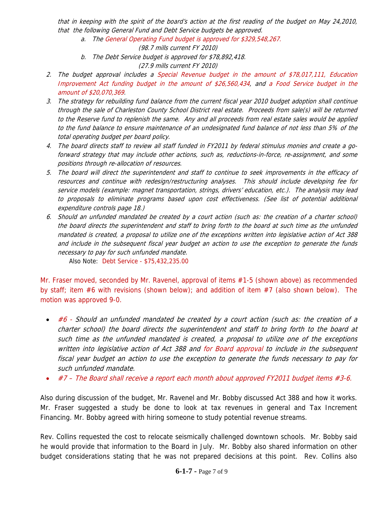that in keeping with the spirit of the board's action at the first reading of the budget on May 24,2010, that the following General Fund and Debt Service budgets be approved.

a. The General Operating Fund budget is approved for \$329,548,267.

(98.7 mills current FY 2010)

b. The Debt Service budget is approved for \$78,892,418.

(27.9 mills current FY 2010)

- 2. The budget approval includes a Special Revenue budget in the amount of \$78,017,111, Education Improvement Act funding budget in the amount of \$26,560,434, and a Food Service budget in the amount of \$20,070,369.
- 3. The strategy for rebuilding fund balance from the current fiscal year 2010 budget adoption shall continue through the sale of Charleston County School District real estate. Proceeds from sale(s) will be returned to the Reserve fund to replenish the same. Any and all proceeds from real estate sales would be applied to the fund balance to ensure maintenance of an undesignated fund balance of not less than 5% of the total operating budget per board policy.
- 4. The board directs staff to review all staff funded in FY2011 by federal stimulus monies and create a goforward strategy that may include other actions, such as, reductions-in-force, re-assignment, and some positions through re-allocation of resources.
- 5. The board will direct the superintendent and staff to continue to seek improvements in the efficacy of resources and continue with redesign/restructuring analyses. This should include developing fee for service models (example: magnet transportation, strings, drivers' education, etc.). The analysis may lead to proposals to eliminate programs based upon cost effectiveness. (See list of potential additional expenditure controls page 18.)
- 6. Should an unfunded mandated be created by a court action (such as: the creation of a charter school) the board directs the superintendent and staff to bring forth to the board at such time as the unfunded mandated is created, a proposal to utilize one of the exceptions written into legislative action of Act 388 and include in the subsequent fiscal year budget an action to use the exception to generate the funds necessary to pay for such unfunded mandate.

Also Note: Debt Service - \$75,432,235.00

Mr. Fraser moved, seconded by Mr. Ravenel, approval of items #1-5 (shown above) as recommended by staff; item #6 with revisions (shown below); and addition of item #7 (also shown below). The motion was approved 9-0.

- #6 Should an unfunded mandated be created by a court action (such as: the creation of a charter school) the board directs the superintendent and staff to bring forth to the board at such time as the unfunded mandated is created, a proposal to utilize one of the exceptions written into legislative action of Act 388 and for Board approval to include in the subsequent fiscal year budget an action to use the exception to generate the funds necessary to pay for such unfunded mandate.
- #7 The Board shall receive a report each month about approved FY2011 budget items #3-6.

Also during discussion of the budget, Mr. Ravenel and Mr. Bobby discussed Act 388 and how it works. Mr. Fraser suggested a study be done to look at tax revenues in general and Tax Increment Financing. Mr. Bobby agreed with hiring someone to study potential revenue streams.

Rev. Collins requested the cost to relocate seismically challenged downtown schools. Mr. Bobby said he would provide that information to the Board in July. Mr. Bobby also shared information on other budget considerations stating that he was not prepared decisions at this point. Rev. Collins also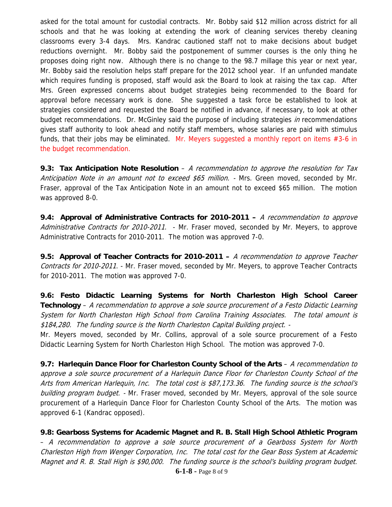asked for the total amount for custodial contracts. Mr. Bobby said \$12 million across district for all schools and that he was looking at extending the work of cleaning services thereby cleaning classrooms every 3-4 days. Mrs. Kandrac cautioned staff not to make decisions about budget reductions overnight. Mr. Bobby said the postponement of summer courses is the only thing he proposes doing right now. Although there is no change to the 98.7 millage this year or next year, Mr. Bobby said the resolution helps staff prepare for the 2012 school year. If an unfunded mandate which requires funding is proposed, staff would ask the Board to look at raising the tax cap. After Mrs. Green expressed concerns about budget strategies being recommended to the Board for approval before necessary work is done. She suggested a task force be established to look at strategies considered and requested the Board be notified in advance, if necessary, to look at other budget recommendations. Dr. McGinley said the purpose of including strategies in recommendations gives staff authority to look ahead and notify staff members, whose salaries are paid with stimulus funds, that their jobs may be eliminated. Mr. Meyers suggested a monthly report on items #3-6 in the budget recommendation.

**9.3: Tax Anticipation Note Resolution** – A recommendation to approve the resolution for Tax Anticipation Note in an amount not to exceed \$65 million. - Mrs. Green moved, seconded by Mr. Fraser, approval of the Tax Anticipation Note in an amount not to exceed \$65 million. The motion was approved 8-0.

**9.4: Approval of Administrative Contracts for 2010-2011 –** A recommendation to approve Administrative Contracts for 2010-2011. - Mr. Fraser moved, seconded by Mr. Meyers, to approve Administrative Contracts for 2010-2011. The motion was approved 7-0.

**9.5: Approval of Teacher Contracts for 2010-2011 –** A recommendation to approve Teacher Contracts for 2010-2011. - Mr. Fraser moved, seconded by Mr. Meyers, to approve Teacher Contracts for 2010-2011. The motion was approved 7-0.

**9.6: Festo Didactic Learning Systems for North Charleston High School Career Technology** – A recommendation to approve a sole source procurement of a Festo Didactic Learning System for North Charleston High School from Carolina Training Associates. The total amount is \$184,280. The funding source is the North Charleston Capital Building project. -

Mr. Meyers moved, seconded by Mr. Collins, approval of a sole source procurement of a Festo Didactic Learning System for North Charleston High School. The motion was approved 7-0.

**9.7: Harlequin Dance Floor for Charleston County School of the Arts** – A recommendation to approve a sole source procurement of a Harlequin Dance Floor for Charleston County School of the Arts from American Harlequin, Inc. The total cost is \$87,173.36. The funding source is the school's building program budget. - Mr. Fraser moved, seconded by Mr. Meyers, approval of the sole source procurement of a Harlequin Dance Floor for Charleston County School of the Arts. The motion was approved 6-1 (Kandrac opposed).

**6-1-8 -** Page 8 of 9 **9.8: Gearboss Systems for Academic Magnet and R. B. Stall High School Athletic Program** – A recommendation to approve a sole source procurement of a Gearboss System for North Charleston High from Wenger Corporation, Inc. The total cost for the Gear Boss System at Academic Magnet and R. B. Stall High is \$90,000. The funding source is the school's building program budget.